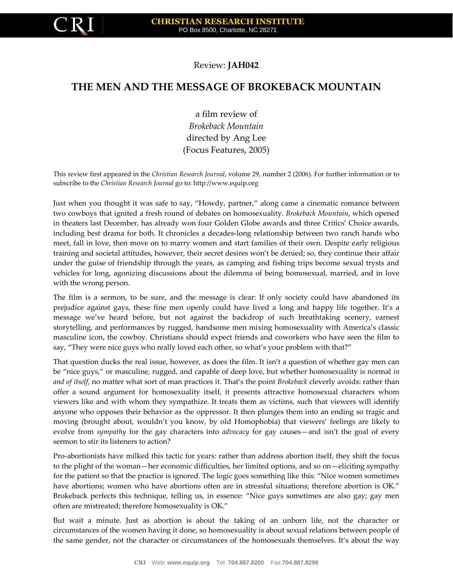

## Review: **JAH042**

## **THE MEN AND THE MESSAGE OF BROKEBACK MOUNTAIN**

a film review of *Brokeback Mountain* directed by Ang Lee (Focus Features, 2005)

This review first appeared in the *Christian Research Journal*, volume 29, number 2 (2006). For further information or to subscribe to the *Christian Research Journal* go to: [http://www.equip.org](http://www.equip.org/publ/)

Just when you thought it was safe to say, "Howdy, partner," along came a cinematic romance between two cowboys that ignited a fresh round of debates on homosexuality. *Brokeback Mountain*, which opened in theaters last December, has already won four Golden Globe awards and three Critics' Choice awards, including best drama for both. It chronicles a decades-long relationship between two ranch hands who meet, fall in love, then move on to marry women and start families of their own. Despite early religious training and societal attitudes, however, their secret desires won't be denied; so, they continue their affair under the guise of friendship through the years, as camping and fishing trips become sexual trysts and vehicles for long, agonizing discussions about the dilemma of being homosexual, married, and in love with the wrong person.

The film is a sermon, to be sure, and the message is clear: If only society could have abandoned its prejudice against gays, these fine men openly could have lived a long and happy life together. It's a message we've heard before, but not against the backdrop of such breathtaking scenery, earnest storytelling, and performances by rugged, handsome men mixing homosexuality with America's classic masculine icon, the cowboy. Christians should expect friends and coworkers who have seen the film to say, "They were nice guys who really loved each other, so what's your problem with that?"

That question ducks the real issue, however, as does the film. It isn't a question of whether gay men can be "nice guys," or masculine, rugged, and capable of deep love, but whether homosexuality is normal *in and of itself*, no matter what sort of man practices it. That's the point *Brokeback* cleverly avoids: rather than offer a sound argument for homosexuality itself, it presents attractive homosexual characters whom viewers like and with whom they sympathize. It treats them as victims, such that viewers will identify anyone who opposes their behavior as the oppressor. It then plunges them into an ending so tragic and moving (brought about, wouldn't you know, by old Homophobia) that viewers' feelings are likely to evolve from *sympathy* for the gay characters into *advocacy* for gay causes—and isn't the goal of every sermon to stir its listeners to action?

Pro-abortionists have milked this tactic for years: rather than address abortion itself, they shift the focus to the plight of the woman—her economic difficulties, her limited options, and so on—eliciting sympathy for the patient so that the practice is ignored. The logic goes something like this: "Nice women sometimes have abortions; women who have abortions often are in stressful situations; therefore abortion is OK." Brokeback perfects this technique, telling us, in essence: "Nice guys sometimes are also gay; gay men often are mistreated; therefore homosexuality is OK."

But wait a minute. Just as abortion is about the taking of an unborn life, not the character or circumstances of the women having it done, so homosexuality is about sexual relations between people of the same gender, not the character or circumstances of the homosexuals themselves. It's about the way